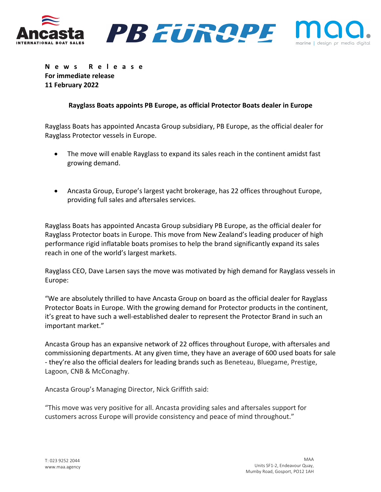

**News Release For immediate release 11 February 2022**

# **Rayglass Boats appoints PB Europe, as official Protector Boats dealer in Europe**

Rayglass Boats has appointed Ancasta Group subsidiary, PB Europe, as the official dealer for Rayglass Protector vessels in Europe.

- The move will enable Rayglass to expand its sales reach in the continent amidst fast growing demand.
- Ancasta Group, Europe's largest yacht brokerage, has 22 offices throughout Europe, providing full sales and aftersales services.

Rayglass Boats has appointed Ancasta Group subsidiary PB Europe, as the official dealer for Rayglass Protector boats in Europe. This move from New Zealand's leading producer of high performance rigid inflatable boats promises to help the brand significantly expand its sales reach in one of the world's largest markets.

Rayglass CEO, Dave Larsen says the move was motivated by high demand for Rayglass vessels in Europe:

"We are absolutely thrilled to have Ancasta Group on board as the official dealer for Rayglass Protector Boats in Europe. With the growing demand for Protector products in the continent, it's great to have such a well-established dealer to represent the Protector Brand in such an important market."

Ancasta Group has an expansive network of 22 offices throughout Europe, with aftersales and commissioning departments. At any given time, they have an average of 600 used boats for sale - they're also the official dealers for leading brands such as Beneteau, Bluegame, Prestige, Lagoon, CNB & McConaghy.

Ancasta Group's Managing Director, Nick Griffith said:

"This move was very positive for all. Ancasta providing sales and aftersales support for customers across Europe will provide consistency and peace of mind throughout."